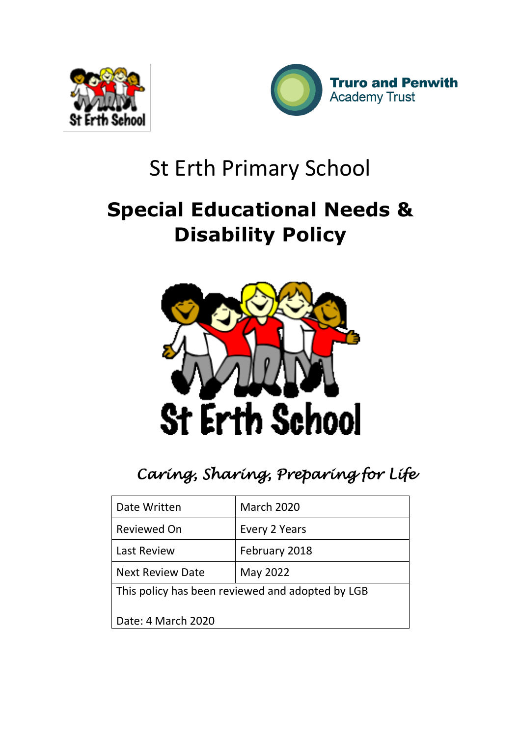



# St Erth Primary School

# **Special Educational Needs & Disability Policy**



*Caring, Sharing, Preparing for Life* 

| Date Written                                     | <b>March 2020</b> |  |
|--------------------------------------------------|-------------------|--|
| <b>Reviewed On</b>                               | Every 2 Years     |  |
| <b>Last Review</b>                               | February 2018     |  |
| <b>Next Review Date</b>                          | May 2022          |  |
| This policy has been reviewed and adopted by LGB |                   |  |
| Date: 4 March 2020                               |                   |  |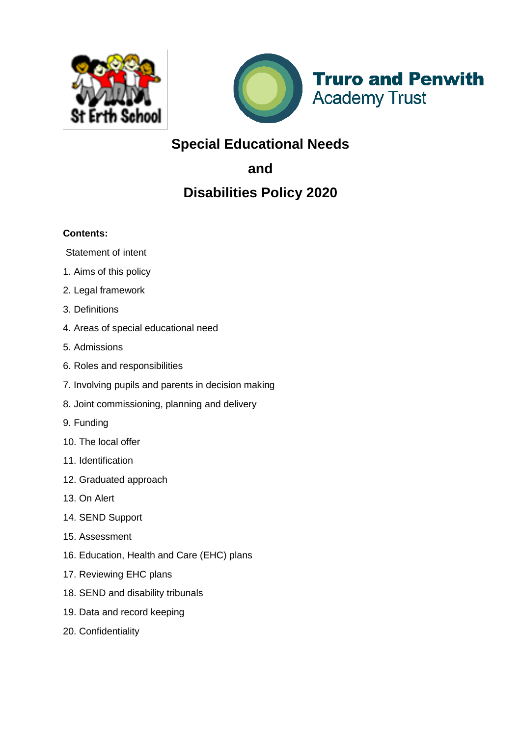



**Truro and Penwith Academy Trust** 

# **Special Educational Needs**

**and** 

# **Disabilities Policy 2020**

# **Contents:**

Statement of intent

- 1. Aims of this policy
- 2. Legal framework
- 3. Definitions
- 4. Areas of special educational need
- 5. Admissions
- 6. Roles and responsibilities
- 7. Involving pupils and parents in decision making
- 8. Joint commissioning, planning and delivery
- 9. Funding
- 10. The local offer
- 11. Identification
- 12. Graduated approach
- 13. On Alert
- 14. SEND Support
- 15. Assessment
- 16. Education, Health and Care (EHC) plans
- 17. Reviewing EHC plans
- 18. SEND and disability tribunals
- 19. Data and record keeping
- 20. Confidentiality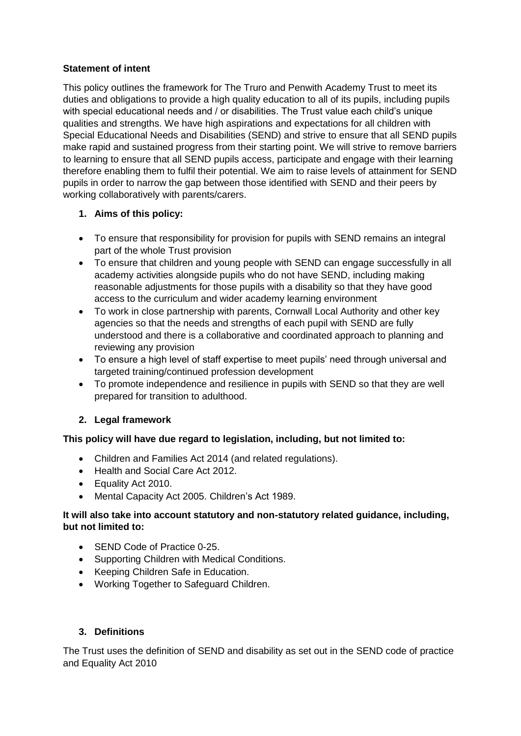#### **Statement of intent**

This policy outlines the framework for The Truro and Penwith Academy Trust to meet its duties and obligations to provide a high quality education to all of its pupils, including pupils with special educational needs and / or disabilities. The Trust value each child's unique qualities and strengths. We have high aspirations and expectations for all children with Special Educational Needs and Disabilities (SEND) and strive to ensure that all SEND pupils make rapid and sustained progress from their starting point. We will strive to remove barriers to learning to ensure that all SEND pupils access, participate and engage with their learning therefore enabling them to fulfil their potential. We aim to raise levels of attainment for SEND pupils in order to narrow the gap between those identified with SEND and their peers by working collaboratively with parents/carers.

# **1. Aims of this policy:**

- To ensure that responsibility for provision for pupils with SEND remains an integral part of the whole Trust provision
- To ensure that children and young people with SEND can engage successfully in all academy activities alongside pupils who do not have SEND, including making reasonable adjustments for those pupils with a disability so that they have good access to the curriculum and wider academy learning environment
- To work in close partnership with parents, Cornwall Local Authority and other key agencies so that the needs and strengths of each pupil with SEND are fully understood and there is a collaborative and coordinated approach to planning and reviewing any provision
- To ensure a high level of staff expertise to meet pupils' need through universal and targeted training/continued profession development
- To promote independence and resilience in pupils with SEND so that they are well prepared for transition to adulthood.

# **2. Legal framework**

# **This policy will have due regard to legislation, including, but not limited to:**

- Children and Families Act 2014 (and related regulations).
- Health and Social Care Act 2012.
- Equality Act 2010.
- Mental Capacity Act 2005. Children's Act 1989.

#### **It will also take into account statutory and non-statutory related guidance, including, but not limited to:**

- SEND Code of Practice 0-25.
- Supporting Children with Medical Conditions.
- Keeping Children Safe in Education.
- Working Together to Safeguard Children.

# **3. Definitions**

The Trust uses the definition of SEND and disability as set out in the SEND code of practice and Equality Act 2010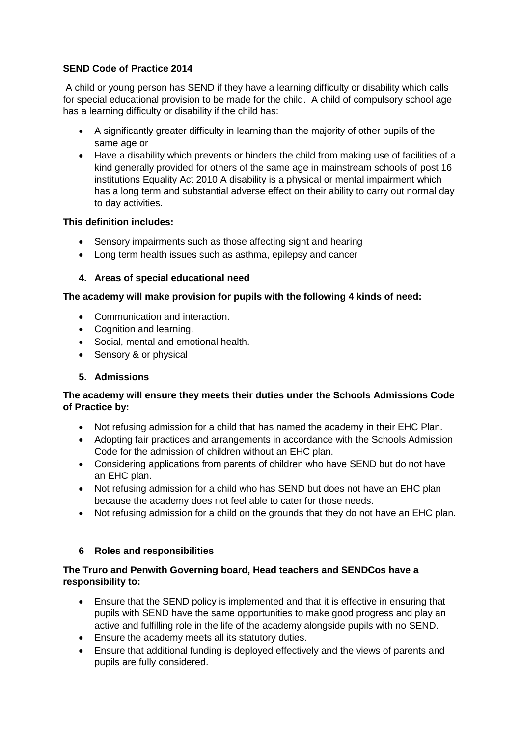# **SEND Code of Practice 2014**

A child or young person has SEND if they have a learning difficulty or disability which calls for special educational provision to be made for the child. A child of compulsory school age has a learning difficulty or disability if the child has:

- A significantly greater difficulty in learning than the majority of other pupils of the same age or
- Have a disability which prevents or hinders the child from making use of facilities of a kind generally provided for others of the same age in mainstream schools of post 16 institutions Equality Act 2010 A disability is a physical or mental impairment which has a long term and substantial adverse effect on their ability to carry out normal day to day activities.

# **This definition includes:**

- Sensory impairments such as those affecting sight and hearing
- Long term health issues such as asthma, epilepsy and cancer

# **4. Areas of special educational need**

# **The academy will make provision for pupils with the following 4 kinds of need:**

- Communication and interaction.
- Cognition and learning.
- Social, mental and emotional health.
- Sensory & or physical

# **5. Admissions**

# **The academy will ensure they meets their duties under the Schools Admissions Code of Practice by:**

- Not refusing admission for a child that has named the academy in their EHC Plan.
- Adopting fair practices and arrangements in accordance with the Schools Admission Code for the admission of children without an EHC plan.
- Considering applications from parents of children who have SEND but do not have an EHC plan.
- Not refusing admission for a child who has SEND but does not have an EHC plan because the academy does not feel able to cater for those needs.
- Not refusing admission for a child on the grounds that they do not have an EHC plan.

# **6 Roles and responsibilities**

# **The Truro and Penwith Governing board, Head teachers and SENDCos have a responsibility to:**

- Ensure that the SEND policy is implemented and that it is effective in ensuring that pupils with SEND have the same opportunities to make good progress and play an active and fulfilling role in the life of the academy alongside pupils with no SEND.
- Ensure the academy meets all its statutory duties.
- Ensure that additional funding is deployed effectively and the views of parents and pupils are fully considered.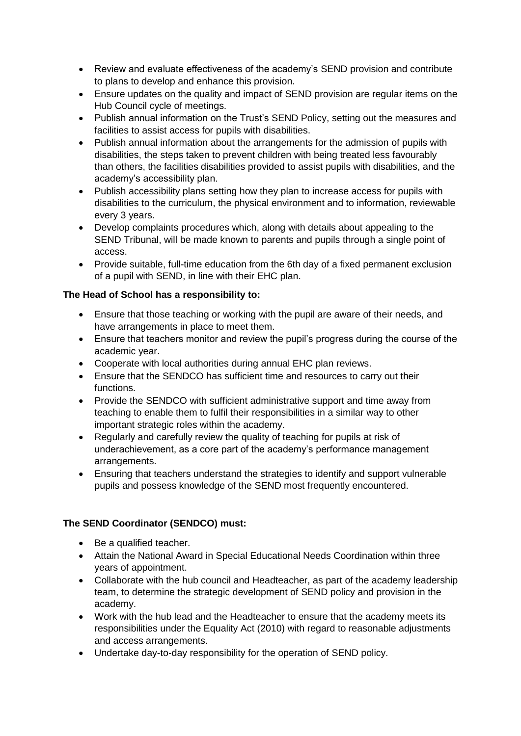- Review and evaluate effectiveness of the academy's SEND provision and contribute to plans to develop and enhance this provision.
- Ensure updates on the quality and impact of SEND provision are regular items on the Hub Council cycle of meetings.
- Publish annual information on the Trust's SEND Policy, setting out the measures and facilities to assist access for pupils with disabilities.
- Publish annual information about the arrangements for the admission of pupils with disabilities, the steps taken to prevent children with being treated less favourably than others, the facilities disabilities provided to assist pupils with disabilities, and the academy's accessibility plan.
- Publish accessibility plans setting how they plan to increase access for pupils with disabilities to the curriculum, the physical environment and to information, reviewable every 3 years.
- Develop complaints procedures which, along with details about appealing to the SEND Tribunal, will be made known to parents and pupils through a single point of access.
- Provide suitable, full-time education from the 6th day of a fixed permanent exclusion of a pupil with SEND, in line with their EHC plan.

#### **The Head of School has a responsibility to:**

- Ensure that those teaching or working with the pupil are aware of their needs, and have arrangements in place to meet them.
- Ensure that teachers monitor and review the pupil's progress during the course of the academic year.
- Cooperate with local authorities during annual EHC plan reviews.
- Ensure that the SENDCO has sufficient time and resources to carry out their functions.
- Provide the SENDCO with sufficient administrative support and time away from teaching to enable them to fulfil their responsibilities in a similar way to other important strategic roles within the academy.
- Regularly and carefully review the quality of teaching for pupils at risk of underachievement, as a core part of the academy's performance management arrangements.
- Ensuring that teachers understand the strategies to identify and support vulnerable pupils and possess knowledge of the SEND most frequently encountered.

# **The SEND Coordinator (SENDCO) must:**

- Be a qualified teacher.
- Attain the National Award in Special Educational Needs Coordination within three years of appointment.
- Collaborate with the hub council and Headteacher, as part of the academy leadership team, to determine the strategic development of SEND policy and provision in the academy.
- Work with the hub lead and the Headteacher to ensure that the academy meets its responsibilities under the Equality Act (2010) with regard to reasonable adjustments and access arrangements.
- Undertake day-to-day responsibility for the operation of SEND policy.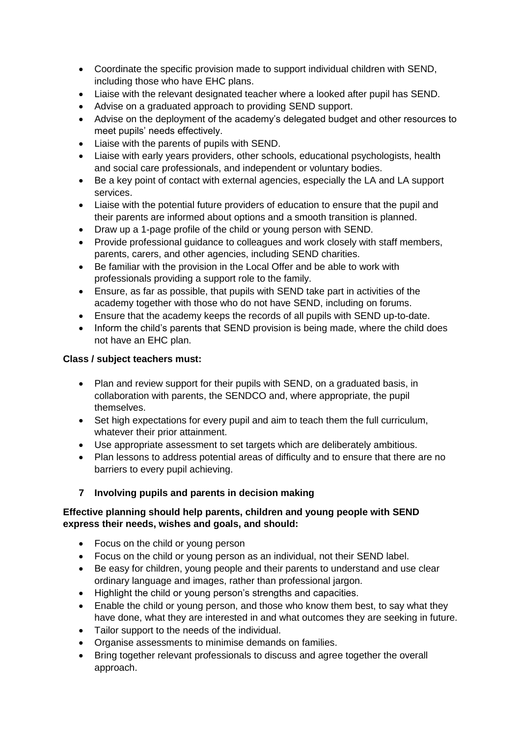- Coordinate the specific provision made to support individual children with SEND, including those who have EHC plans.
- Liaise with the relevant designated teacher where a looked after pupil has SEND.
- Advise on a graduated approach to providing SEND support.
- Advise on the deployment of the academy's delegated budget and other resources to meet pupils' needs effectively.
- Liaise with the parents of pupils with SEND.
- Liaise with early years providers, other schools, educational psychologists, health and social care professionals, and independent or voluntary bodies.
- Be a key point of contact with external agencies, especially the LA and LA support services.
- Liaise with the potential future providers of education to ensure that the pupil and their parents are informed about options and a smooth transition is planned.
- Draw up a 1-page profile of the child or young person with SEND.
- Provide professional guidance to colleagues and work closely with staff members, parents, carers, and other agencies, including SEND charities.
- Be familiar with the provision in the Local Offer and be able to work with professionals providing a support role to the family.
- Ensure, as far as possible, that pupils with SEND take part in activities of the academy together with those who do not have SEND, including on forums.
- Ensure that the academy keeps the records of all pupils with SEND up-to-date.
- Inform the child's parents that SEND provision is being made, where the child does not have an EHC plan.

# **Class / subject teachers must:**

- Plan and review support for their pupils with SEND, on a graduated basis, in collaboration with parents, the SENDCO and, where appropriate, the pupil themselves.
- Set high expectations for every pupil and aim to teach them the full curriculum, whatever their prior attainment.
- Use appropriate assessment to set targets which are deliberately ambitious.
- Plan lessons to address potential areas of difficulty and to ensure that there are no barriers to every pupil achieving.

# **7 Involving pupils and parents in decision making**

# **Effective planning should help parents, children and young people with SEND express their needs, wishes and goals, and should:**

- Focus on the child or young person
- Focus on the child or young person as an individual, not their SEND label.
- Be easy for children, young people and their parents to understand and use clear ordinary language and images, rather than professional jargon.
- Highlight the child or young person's strengths and capacities.
- Enable the child or young person, and those who know them best, to say what they have done, what they are interested in and what outcomes they are seeking in future.
- Tailor support to the needs of the individual.
- Organise assessments to minimise demands on families.
- Bring together relevant professionals to discuss and agree together the overall approach.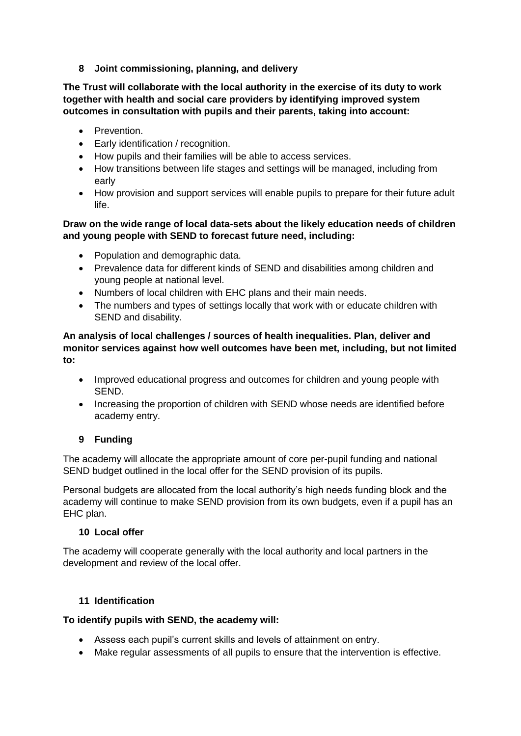**8 Joint commissioning, planning, and delivery**

**The Trust will collaborate with the local authority in the exercise of its duty to work together with health and social care providers by identifying improved system outcomes in consultation with pupils and their parents, taking into account:** 

- **•** Prevention.
- Early identification / recognition.
- How pupils and their families will be able to access services.
- How transitions between life stages and settings will be managed, including from early
- How provision and support services will enable pupils to prepare for their future adult life.

#### **Draw on the wide range of local data-sets about the likely education needs of children and young people with SEND to forecast future need, including:**

- Population and demographic data.
- Prevalence data for different kinds of SEND and disabilities among children and young people at national level.
- Numbers of local children with EHC plans and their main needs.
- The numbers and types of settings locally that work with or educate children with SEND and disability.

**An analysis of local challenges / sources of health inequalities. Plan, deliver and monitor services against how well outcomes have been met, including, but not limited to:** 

- Improved educational progress and outcomes for children and young people with SEND.
- Increasing the proportion of children with SEND whose needs are identified before academy entry.

# **9 Funding**

The academy will allocate the appropriate amount of core per-pupil funding and national SEND budget outlined in the local offer for the SEND provision of its pupils.

Personal budgets are allocated from the local authority's high needs funding block and the academy will continue to make SEND provision from its own budgets, even if a pupil has an EHC plan.

#### **10 Local offer**

The academy will cooperate generally with the local authority and local partners in the development and review of the local offer.

#### **11 Identification**

#### **To identify pupils with SEND, the academy will:**

- Assess each pupil's current skills and levels of attainment on entry.
- Make regular assessments of all pupils to ensure that the intervention is effective.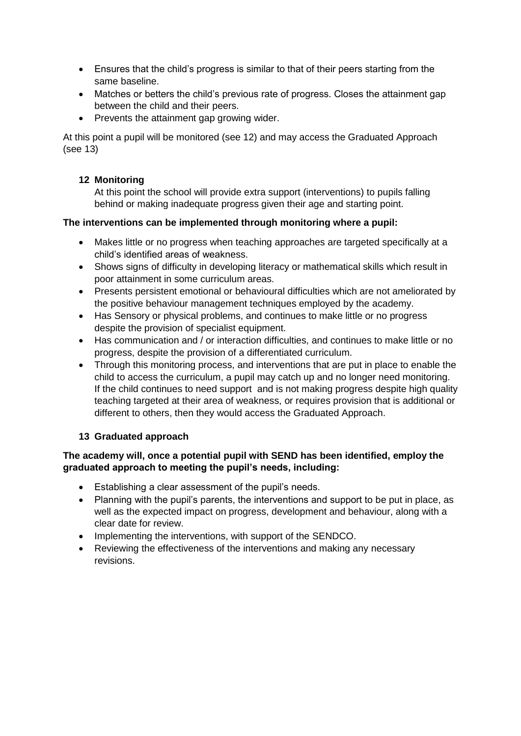- Ensures that the child's progress is similar to that of their peers starting from the same baseline.
- Matches or betters the child's previous rate of progress. Closes the attainment gap between the child and their peers.
- Prevents the attainment gap growing wider.

At this point a pupil will be monitored (see 12) and may access the Graduated Approach (see 13)

#### **12 Monitoring**

At this point the school will provide extra support (interventions) to pupils falling behind or making inadequate progress given their age and starting point.

#### **The interventions can be implemented through monitoring where a pupil:**

- Makes little or no progress when teaching approaches are targeted specifically at a child's identified areas of weakness.
- Shows signs of difficulty in developing literacy or mathematical skills which result in poor attainment in some curriculum areas.
- Presents persistent emotional or behavioural difficulties which are not ameliorated by the positive behaviour management techniques employed by the academy.
- Has Sensory or physical problems, and continues to make little or no progress despite the provision of specialist equipment.
- Has communication and / or interaction difficulties, and continues to make little or no progress, despite the provision of a differentiated curriculum.
- Through this monitoring process, and interventions that are put in place to enable the child to access the curriculum, a pupil may catch up and no longer need monitoring. If the child continues to need support and is not making progress despite high quality teaching targeted at their area of weakness, or requires provision that is additional or different to others, then they would access the Graduated Approach.

# **13 Graduated approach**

#### **The academy will, once a potential pupil with SEND has been identified, employ the graduated approach to meeting the pupil's needs, including:**

- Establishing a clear assessment of the pupil's needs.
- Planning with the pupil's parents, the interventions and support to be put in place, as well as the expected impact on progress, development and behaviour, along with a clear date for review.
- Implementing the interventions, with support of the SENDCO.
- Reviewing the effectiveness of the interventions and making any necessary revisions.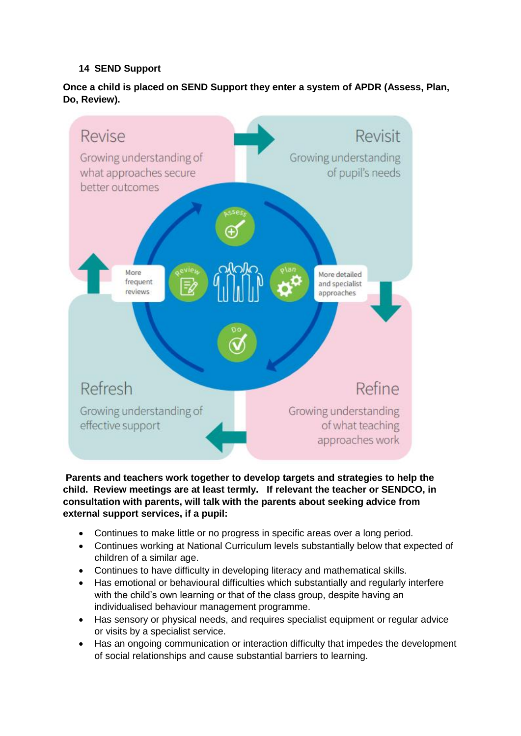# **14 SEND Support**

# **Once a child is placed on SEND Support they enter a system of APDR (Assess, Plan, Do, Review).**



**Parents and teachers work together to develop targets and strategies to help the child. Review meetings are at least termly. If relevant the teacher or SENDCO, in consultation with parents, will talk with the parents about seeking advice from external support services, if a pupil:** 

- Continues to make little or no progress in specific areas over a long period.
- Continues working at National Curriculum levels substantially below that expected of children of a similar age.
- Continues to have difficulty in developing literacy and mathematical skills.
- Has emotional or behavioural difficulties which substantially and regularly interfere with the child's own learning or that of the class group, despite having an individualised behaviour management programme.
- Has sensory or physical needs, and requires specialist equipment or regular advice or visits by a specialist service.
- Has an ongoing communication or interaction difficulty that impedes the development of social relationships and cause substantial barriers to learning.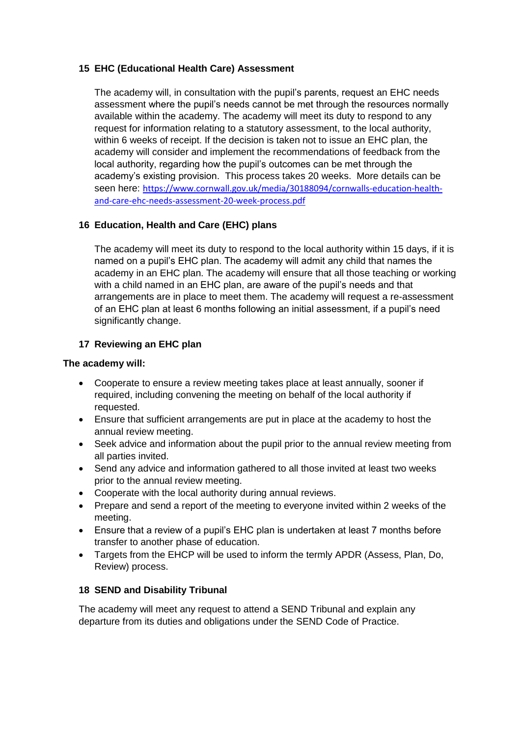#### **15 EHC (Educational Health Care) Assessment**

The academy will, in consultation with the pupil's parents, request an EHC needs assessment where the pupil's needs cannot be met through the resources normally available within the academy. The academy will meet its duty to respond to any request for information relating to a statutory assessment, to the local authority, within 6 weeks of receipt. If the decision is taken not to issue an EHC plan, the academy will consider and implement the recommendations of feedback from the local authority, regarding how the pupil's outcomes can be met through the academy's existing provision. This process takes 20 weeks. More details can be seen here: [https://www.cornwall.gov.uk/media/30188094/cornwalls-education-health](https://www.cornwall.gov.uk/media/30188094/cornwalls-education-health-and-care-ehc-needs-assessment-20-week-process.pdf)[and-care-ehc-needs-assessment-20-week-process.pdf](https://www.cornwall.gov.uk/media/30188094/cornwalls-education-health-and-care-ehc-needs-assessment-20-week-process.pdf)

# **16 Education, Health and Care (EHC) plans**

The academy will meet its duty to respond to the local authority within 15 days, if it is named on a pupil's EHC plan. The academy will admit any child that names the academy in an EHC plan. The academy will ensure that all those teaching or working with a child named in an EHC plan, are aware of the pupil's needs and that arrangements are in place to meet them. The academy will request a re-assessment of an EHC plan at least 6 months following an initial assessment, if a pupil's need significantly change.

# **17 Reviewing an EHC plan**

#### **The academy will:**

- Cooperate to ensure a review meeting takes place at least annually, sooner if required, including convening the meeting on behalf of the local authority if requested.
- Ensure that sufficient arrangements are put in place at the academy to host the annual review meeting.
- Seek advice and information about the pupil prior to the annual review meeting from all parties invited.
- Send any advice and information gathered to all those invited at least two weeks prior to the annual review meeting.
- Cooperate with the local authority during annual reviews.
- Prepare and send a report of the meeting to everyone invited within 2 weeks of the meeting.
- Ensure that a review of a pupil's EHC plan is undertaken at least 7 months before transfer to another phase of education.
- Targets from the EHCP will be used to inform the termly APDR (Assess, Plan, Do, Review) process.

#### **18 SEND and Disability Tribunal**

The academy will meet any request to attend a SEND Tribunal and explain any departure from its duties and obligations under the SEND Code of Practice.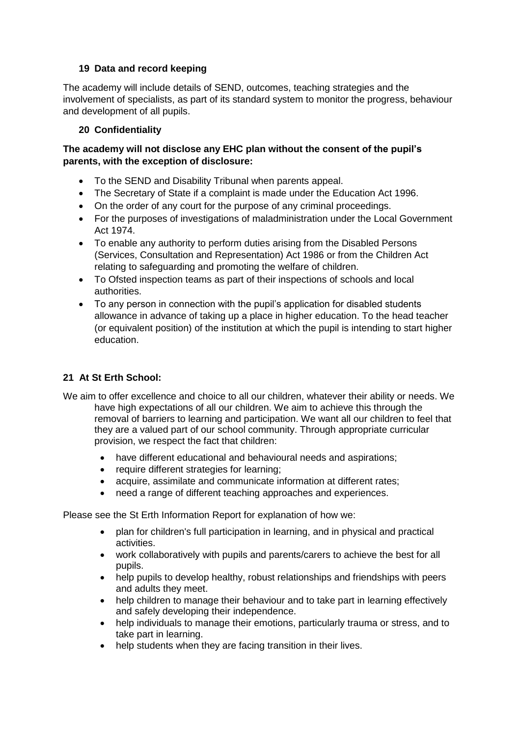#### **19 Data and record keeping**

The academy will include details of SEND, outcomes, teaching strategies and the involvement of specialists, as part of its standard system to monitor the progress, behaviour and development of all pupils.

#### **20 Confidentiality**

#### **The academy will not disclose any EHC plan without the consent of the pupil's parents, with the exception of disclosure:**

- To the SEND and Disability Tribunal when parents appeal.
- The Secretary of State if a complaint is made under the Education Act 1996.
- On the order of any court for the purpose of any criminal proceedings.
- For the purposes of investigations of maladministration under the Local Government Act 1974.
- To enable any authority to perform duties arising from the Disabled Persons (Services, Consultation and Representation) Act 1986 or from the Children Act relating to safeguarding and promoting the welfare of children.
- To Ofsted inspection teams as part of their inspections of schools and local authorities.
- To any person in connection with the pupil's application for disabled students allowance in advance of taking up a place in higher education. To the head teacher (or equivalent position) of the institution at which the pupil is intending to start higher education.

# **21 At St Erth School:**

- We aim to offer excellence and choice to all our children, whatever their ability or needs. We have high expectations of all our children. We aim to achieve this through the removal of barriers to learning and participation. We want all our children to feel that they are a valued part of our school community. Through appropriate curricular provision, we respect the fact that children:
	- have different educational and behavioural needs and aspirations;
	- require different strategies for learning;
	- acquire, assimilate and communicate information at different rates:
	- need a range of different teaching approaches and experiences.

Please see the St Erth Information Report for explanation of how we:

- plan for children's full participation in learning, and in physical and practical activities.
- work collaboratively with pupils and parents/carers to achieve the best for all pupils.
- help pupils to develop healthy, robust relationships and friendships with peers and adults they meet.
- help children to manage their behaviour and to take part in learning effectively and safely developing their independence.
- help individuals to manage their emotions, particularly trauma or stress, and to take part in learning.
- help students when they are facing transition in their lives.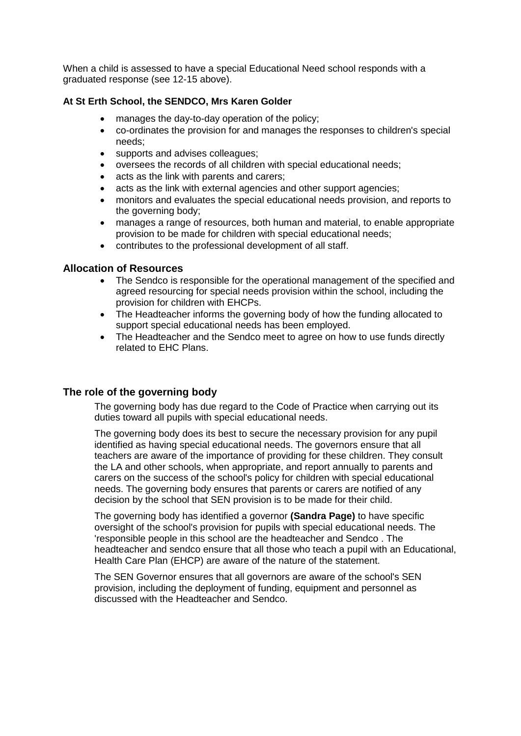When a child is assessed to have a special Educational Need school responds with a graduated response (see 12-15 above).

#### **At St Erth School, the SENDCO, Mrs Karen Golder**

- manages the day-to-day operation of the policy;
- co-ordinates the provision for and manages the responses to children's special needs;
- supports and advises colleagues;
- oversees the records of all children with special educational needs;
- acts as the link with parents and carers;
- acts as the link with external agencies and other support agencies:
- monitors and evaluates the special educational needs provision, and reports to the governing body;
- manages a range of resources, both human and material, to enable appropriate provision to be made for children with special educational needs;
- contributes to the professional development of all staff.

#### **Allocation of Resources**

- The Sendco is responsible for the operational management of the specified and agreed resourcing for special needs provision within the school, including the provision for children with EHCPs.
- The Headteacher informs the governing body of how the funding allocated to support special educational needs has been employed.
- The Headteacher and the Sendco meet to agree on how to use funds directly related to EHC Plans.

#### **The role of the governing body**

The governing body has due regard to the Code of Practice when carrying out its duties toward all pupils with special educational needs.

The governing body does its best to secure the necessary provision for any pupil identified as having special educational needs. The governors ensure that all teachers are aware of the importance of providing for these children. They consult the LA and other schools, when appropriate, and report annually to parents and carers on the success of the school's policy for children with special educational needs. The governing body ensures that parents or carers are notified of any decision by the school that SEN provision is to be made for their child.

The governing body has identified a governor **(Sandra Page)** to have specific oversight of the school's provision for pupils with special educational needs. The 'responsible people in this school are the headteacher and Sendco . The headteacher and sendco ensure that all those who teach a pupil with an Educational, Health Care Plan (EHCP) are aware of the nature of the statement.

The SEN Governor ensures that all governors are aware of the school's SEN provision, including the deployment of funding, equipment and personnel as discussed with the Headteacher and Sendco.